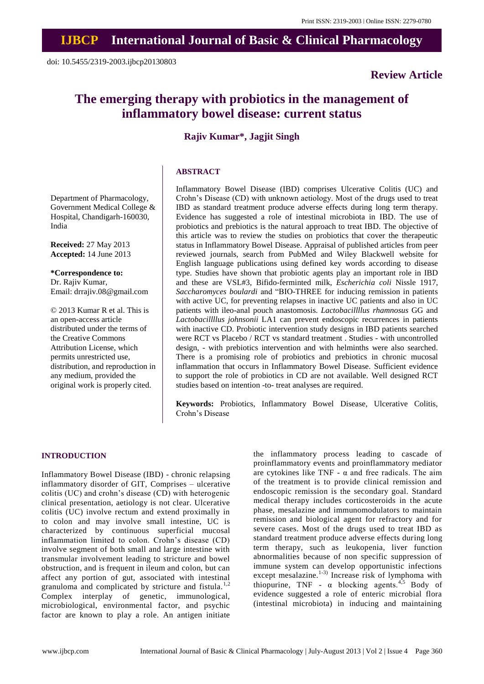## **Review Article**

# **The emerging therapy with probiotics in the management of inflammatory bowel disease: current status**

## **Rajiv Kumar\*, Jagjit Singh**

#### **ABSTRACT**

Department of Pharmacology, Government Medical College & Hospital, Chandigarh-160030, India

**Received:** 27 May 2013 **Accepted:** 14 June 2013

**\*Correspondence to:** Dr. Rajiv Kumar, Email: drrajiv.08@gmail.com

© 2013 Kumar R et al. This is an open-access article distributed under the terms of the Creative Commons Attribution License, which permits unrestricted use, distribution, and reproduction in any medium, provided the original work is properly cited.

Inflammatory Bowel Disease (IBD) comprises Ulcerative Colitis (UC) and Crohn's Disease (CD) with unknown aetiology. Most of the drugs used to treat IBD as standard treatment produce adverse effects during long term therapy. Evidence has suggested a role of intestinal microbiota in IBD. The use of probiotics and prebiotics is the natural approach to treat IBD. The objective of this article was to review the studies on probiotics that cover the therapeutic status in Inflammatory Bowel Disease. Appraisal of published articles from peer reviewed journals, search from PubMed and Wiley Blackwell website for English language publications using defined key words according to disease type. Studies have shown that probiotic agents play an important role in IBD and these are VSL#3, Bifido-ferminted milk, *Escherichia coli* Nissle 1917, *Saccharomyces boulardi* and "BIO-THREE for inducing remission in patients with active UC, for preventing relapses in inactive UC patients and also in UC patients with ileo-anal pouch anastomosis. *Lactobacillllus rhamnosus* GG and *Lactobacillllus johnsonii* LA1 can prevent endoscopic recurrences in patients with inactive CD. Probiotic intervention study designs in IBD patients searched were RCT vs Placebo / RCT vs standard treatment . Studies - with uncontrolled design, - with prebiotics intervention and with helminths were also searched. There is a promising role of probiotics and prebiotics in chronic mucosal inflammation that occurs in Inflammatory Bowel Disease. Sufficient evidence to support the role of probiotics in CD are not available. Well designed RCT studies based on intention -to- treat analyses are required.

**Keywords:** Probiotics, Inflammatory Bowel Disease, Ulcerative Colitis, Crohn's Disease

#### **INTRODUCTION**

Inflammatory Bowel Disease (IBD) - chronic relapsing inflammatory disorder of GIT, Comprises – ulcerative colitis (UC) and crohn's disease (CD) with heterogenic clinical presentation, aetiology is not clear. Ulcerative colitis (UC) involve rectum and extend proximally in to colon and may involve small intestine, UC is characterized by continuous superficial mucosal inflammation limited to colon. Crohn's disease (CD) involve segment of both small and large intestine with transmular involvement leading to stricture and bowel obstruction, and is frequent in ileum and colon, but can affect any portion of gut, associated with intestinal granuloma and complicated by stricture and fistula.<sup>1,2</sup> Complex interplay of genetic, immunological, microbiological, environmental factor, and psychic factor are known to play a role. An antigen initiate

the inflammatory process leading to cascade of proinflammatory events and proinflammatory mediator are cytokines like TNF -  $\alpha$  and free radicals. The aim of the treatment is to provide clinical remission and endoscopic remission is the secondary goal. Standard medical therapy includes corticosteroids in the acute phase, mesalazine and immunomodulators to maintain remission and biological agent for refractory and for severe cases. Most of the drugs used to treat IBD as standard treatment produce adverse effects during long term therapy, such as leukopenia, liver function abnormalities because of non specific suppression of immune system can develop opportunistic infections except mesalazine.<sup>1-3)</sup> Increase risk of lymphoma with thiopurine, TNF -  $\alpha$  blocking agents.<sup>4,5</sup> Body of evidence suggested a role of enteric microbial flora (intestinal microbiota) in inducing and maintaining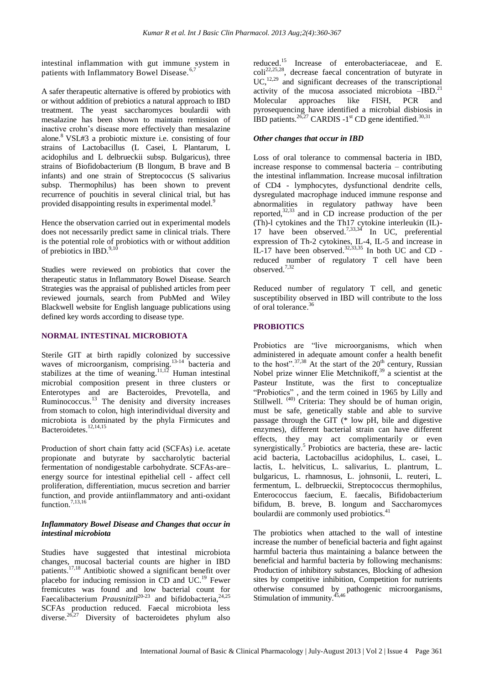intestinal inflammation with gut immune system in patients with Inflammatory Bowel Disease.<sup>6,7</sup>

A safer therapeutic alternative is offered by probiotics with or without addition of prebiotics a natural approach to IBD treatment. The yeast saccharomyces boulardii with mesalazine has been shown to maintain remission of inactive crohn's disease more effectively than mesalazine alone.<sup>8</sup>VSL#3 a probiotic mixture i.e. consisting of four strains of Lactobacillus (L Casei, L Plantarum, L acidophilus and L delbrueckii subsp. Bulgaricus), three strains of Biofidobacterium (B llongum, B brave and B infants) and one strain of Streptococcus (S salivarius subsp. Thermophilus) has been shown to prevent recurrence of pouchitis in several clinical trial, but has provided disappointing results in experimental model.<sup>9</sup>

Hence the observation carried out in experimental models does not necessarily predict same in clinical trials. There is the potential role of probiotics with or without addition of prebiotics in IBD. $^{9,10}$ 

Studies were reviewed on probiotics that cover the therapeutic status in Inflammatory Bowel Disease. Search Strategies was the appraisal of published articles from peer reviewed journals, search from PubMed and Wiley Blackwell website for English language publications using defined key words according to disease type.

## **NORMAL INTESTINAL MICROBIOTA**

Sterile GIT at birth rapidly colonized by successive waves of microorganism, comprising.<sup>13-14</sup> bacteria and stabilizes at the time of weaning.<sup>11,12</sup> Human intestinal microbial composition present in three clusters or Enterotypes and are Bacteroides, Prevotella, and Ruminococcus.<sup>13</sup> The denisity and diversity increases from stomach to colon, high interindividual diversity and microbiota is dominated by the phyla Firmicutes and Bacteroidetes. 12,14,15

Production of short chain fatty acid (SCFAs) i.e. acetate propionate and butyrate by saccharolytic bacterial fermentation of nondigestable carbohydrate. SCFAs-are– energy source for intestinal epithelial cell - affect cell proliferation, differentiation, mucus secretion and barrier function, and provide antiinflammatory and anti-oxidant function.<sup>7,13,16</sup>

## *Inflammatory Bowel Disease and Changes that occur in intestinal microbiota*

Studies have suggested that intestinal microbiota changes, mucosal bacterial counts are higher in IBD patients. 17,18 Antibiotic showed a significant benefit over placebo for inducing remission in  $CD$  and  $UC<sup>19</sup>$  Fewer fremicutes was found and low bacterial count for Faecalibacterium *Prausnitzll*<sup>20-23</sup> and bifidobacteria,<sup>24,25</sup> SCFAs production reduced. Faecal microbiota less diverse.<sup>26,27</sup> Diversity of bacteroidetes phylum also

reduced. <sup>15</sup> Increase of enterobacteriaceae, and E.  $\text{coll}^{22,25,28}$ , decrease faecal concentration of butyrate in  $UC<sup>12,29</sup>$  and significant decreases of the transcriptional activity of the mucosa associated microbiota  $-\text{IBD}.^{21}$ Molecular approaches like FISH, PCR and pyrosequencing have identified a microbial disbiosis in IBD patients.<sup>26,27</sup> CARDIS -1<sup>st</sup> CD gene identified.<sup>30,31</sup>

## *Other changes that occur in IBD*

Loss of oral tolerance to commensal bacteria in IBD, increase response to commensal bacteria – contributing the intestinal inflammation. Increase mucosal infiltration of CD4 - lymphocytes, dysfunctional dendrite cells, dysregulated macrophage induced immune response and abnormalities in regulatory pathway have been reported, $32,33$  and in CD increase production of the per (Th)-l cytokines and the Th17 cytokine interleukin (IL)- 17 have been observed.<sup>7,33,34</sup> In UC, preferential expression of Th-2 cytokines, IL-4, IL-5 and increase in IL-17 have been observed. 32,33,35 In both UC and CD reduced number of regulatory T cell have been observed.7,32

Reduced number of regulatory T cell, and genetic susceptibility observed in IBD will contribute to the loss of oral tolerance. 36

## **PROBIOTICS**

Probiotics are "live microorganisms, which when administered in adequate amount confer a health benefit to the host".  $37,38$  At the start of the 20<sup>th</sup> century, Russian Nobel prize winner Elie Metchnikoff, $39$  a scientist at the Pasteur Institute, was the first to conceptualize "Probiotics" , and the term coined in 1965 by Lilly and Stillwell. <sup>(40)</sup> Criteria: They should be of human origin, must be safe, genetically stable and able to survive passage through the GIT (\* low pH, bile and digestive enzymes), different bacterial strain can have different effects, they may act complimentarily or even synergistically.<sup>5</sup> Probiotics are bacteria, these are- lactic acid bacteria, Lactobacillus acidophilus, L. casei, L. lactis, L. helviticus, L. salivarius, L. plantrum, L. bulgaricus, L. rhamnosus, L. johnsonii, L. reuteri, L. fermentum, L. delbrueckii, Streptococcus thermophilus, Enterococcus faecium, E. faecalis, Bifidobacterium bifidum, B. breve, B. longum and Saccharomyces boulardii are commonly used probiotics.<sup>41</sup>

The probiotics when attached to the wall of intestine increase the number of beneficial bacteria and fight against harmful bacteria thus maintaining a balance between the beneficial and harmful bacteria by following mechanisms: Production of inhibitory substances, Blocking of adhesion sites by competitive inhibition, Competition for nutrients otherwise consumed by pathogenic microorganisms, Stimulation of immunity.<sup>45,46</sup>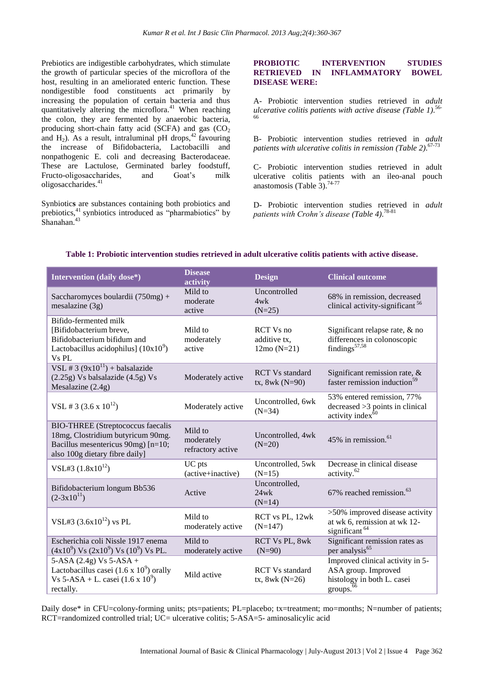Prebiotics are indigestible carbohydrates, which stimulate the growth of particular species of the microflora of the host, resulting in an ameliorated enteric function. These nondigestible food constituents act primarily by increasing the population of certain bacteria and thus quantitatively altering the microflora.<sup>41</sup> When reaching the colon, they are fermented by anaerobic bacteria, producing short-chain fatty acid (SCFA) and gas  $(CO<sub>2</sub>)$ and  $H_2$ ). As a result, intraluminal pH drops,<sup>42</sup> favouring the increase of Bifidobacteria, Lactobacilli and nonpathogenic E. coli and decreasing Bacterodaceae. These are Lactulose, Germinated barley foodstuff, Fructo-oligosaccharides, and Goat's milk oligosaccharides.<sup>41</sup>

Synbiotic**s** are substances containing both probiotics and prebiotics,<sup>41</sup> synbiotics introduced as "pharmabiotics" by Shanahan.<sup>43</sup>

### **PROBIOTIC INTERVENTION STUDIES RETRIEVED IN INFLAMMATORY BOWEL DISEASE WERE:**

A- Probiotic intervention studies retrieved in *adult ulcerative colitis patients with active disease (Table 1)*. 56- 66

B- Probiotic intervention studies retrieved in *adult patients with ulcerative colitis in remission (Table 2)*. 67-73

C- Probiotic intervention studies retrieved in adult ulcerative colitis patients with an ileo-anal pouch anastomosis (Table  $3$ ).<sup>74-77</sup>

D- Probiotic intervention studies retrieved in *adult patients with Crohn's disease (Table 4)*. 78-81

| Intervention (daily dose*)                                                                                                                            | <b>Disease</b><br>activity                 | <b>Design</b>                                     | <b>Clinical outcome</b>                                                                                        |
|-------------------------------------------------------------------------------------------------------------------------------------------------------|--------------------------------------------|---------------------------------------------------|----------------------------------------------------------------------------------------------------------------|
| Saccharomyces boulardii (750mg) +<br>mesalazine (3g)                                                                                                  | Mild to<br>moderate<br>active              | Uncontrolled<br>4wk<br>$(N=25)$                   | 68% in remission, decreased<br>clinical activity-significant <sup>56</sup>                                     |
| Bifido-fermented milk<br>[Bifidobacterium breve,<br>Bifidobacterium bifidum and<br>Lactobacillus acidophilus] $(10x10^9)$<br>Vs PL                    | Mild to<br>moderately<br>active            | <b>RCT</b> Vs no<br>additive tx.<br>$12mo (N=21)$ | Significant relapse rate, $&$ no<br>differences in colonoscopic<br>findings <sup>57,58</sup>                   |
| VSL # 3 $(9x10^{11})$ + balsalazide<br>$(2.25g)$ Vs balsalazide $(4.5g)$ Vs<br>Mesalazine (2.4g)                                                      | Moderately active                          | <b>RCT</b> Vs standard<br>$tx, 8wk (N=90)$        | Significant remission rate, &<br>faster remission induction <sup>59</sup>                                      |
| VSL # 3 $(3.6 \times 10^{12})$                                                                                                                        | Moderately active                          | Uncontrolled, 6wk<br>$(N=34)$                     | 53% entered remission, 77%<br>$decreased >3$ points in clinical<br>activity index <sup>60</sup>                |
| <b>BIO-THREE</b> (Streptococcus faecalis<br>18mg, Clostridium butyricum 90mg.<br>Bacillus mesentericus 90mg) [n=10;<br>also 100g dietary fibre daily] | Mild to<br>moderately<br>refractory active | Uncontrolled, 4wk<br>$(N=20)$                     | 45% in remission. <sup>61</sup>                                                                                |
| VSL#3 $(1.8x10^{12})$                                                                                                                                 | UC pts<br>(active+inactive)                | Uncontrolled, 5wk<br>$(N=15)$                     | Decrease in clinical disease<br>activity. <sup>62</sup>                                                        |
| Bifidobacterium longum Bb536<br>$(2-3x10^{11})$                                                                                                       | Active                                     | Uncontrolled,<br>$24$ w $k$<br>$(N=14)$           | 67% reached remission. <sup>63</sup>                                                                           |
| VSL#3 $(3.6x10^{12})$ vs PL                                                                                                                           | Mild to<br>moderately active               | RCT vs PL, 12wk<br>$(N=147)$                      | >50% improved disease activity<br>at wk 6, remission at wk 12-<br>significant <sup>64</sup>                    |
| Escherichia coli Nissle 1917 enema<br>$(4x109)$ Vs $(2x109)$ Vs $(109)$ Vs PL.                                                                        | Mild to<br>moderately active               | RCT Vs PL, 8wk<br>$(N=90)$                        | Significant remission rates as<br>per analysis <sup>65</sup>                                                   |
| 5-ASA $(2.4g)$ Vs 5-ASA +<br>Lactobacillus casei $(1.6 \times 10^9)$ orally<br>Vs 5-ASA + L. casei $(1.6 \times 10^9)$<br>rectally.                   | Mild active                                | <b>RCT</b> Vs standard<br>$tx, 8wk (N=26)$        | Improved clinical activity in 5-<br>ASA group. Improved<br>histology in both L. casei<br>groups. <sup>66</sup> |

## **Table 1: Probiotic intervention studies retrieved in adult ulcerative colitis patients with active disease.**

Daily dose\* in CFU=colony-forming units; pts=patients; PL=placebo; tx=treatment; mo=months; N=number of patients; RCT=randomized controlled trial; UC= ulcerative colitis; 5-ASA=5- aminosalicylic acid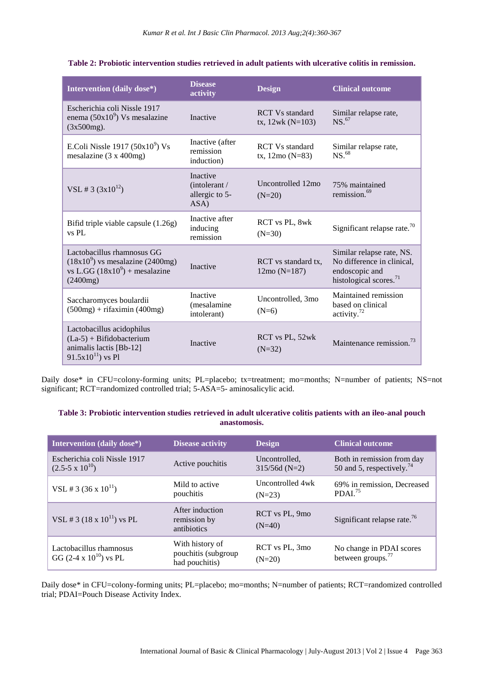| Intervention (daily dose*)                                                                                      | <b>Disease</b><br>activity                          | <b>Design</b>                                      | <b>Clinical outcome</b>                                                                                         |
|-----------------------------------------------------------------------------------------------------------------|-----------------------------------------------------|----------------------------------------------------|-----------------------------------------------------------------------------------------------------------------|
| Escherichia coli Nissle 1917<br>enema $(50x10^9)$ Vs mesalazine<br>$(3x500mg)$ .                                | Inactive                                            | <b>RCT</b> Vs standard<br>$tx, 12wk (N=103)$       | Similar relapse rate,<br>NS. <sup>67</sup>                                                                      |
| E.Coli Nissle 1917 $(50x10^9)$ Vs<br>mesalazine $(3 \times 400$ mg)                                             | Inactive (after<br>remission<br>induction)          | <b>RCT Vs standard</b><br>tx, $12\text{mo}$ (N=83) | Similar relapse rate,<br>NS. <sup>68</sup>                                                                      |
| VSL # 3 $(3x10^{12})$                                                                                           | Inactive<br>(intolerant /<br>allergic to 5-<br>ASA) | Uncontrolled 12mo<br>$(N=20)$                      | 75% maintained<br>remission. <sup>69</sup>                                                                      |
| Bifid triple viable capsule (1.26g)<br>vs PL                                                                    | Inactive after<br>inducing<br>remission             | RCT vs PL, 8wk<br>$(N=30)$                         | Significant relapse rate. $70$                                                                                  |
| Lactobacillus rhamnosus GG<br>$(18x109)$ vs mesalazine (2400mg)<br>vs L.GG $(18x10^9)$ + mesalazine<br>(2400mg) | <b>Inactive</b>                                     | RCT vs standard tx,<br>$12mo (N=187)$              | Similar relapse rate, NS.<br>No difference in clinical,<br>endoscopic and<br>histological scores. <sup>71</sup> |
| Saccharomyces boulardii<br>$(500mg) + rifaximin (400mg)$                                                        | Inactive<br>(mesalamine<br>intolerant)              | Uncontrolled, 3mo<br>$(N=6)$                       | Maintained remission<br>based on clinical<br>activity. <sup>72</sup>                                            |
| Lactobacillus acidophilus<br>$(La-5) + Bifidobacterium$<br>animalis lactis [Bb-12]<br>$91.5x10^{11}$ ) vs Pl    | Inactive                                            | RCT vs PL, 52wk<br>$(N=32)$                        | Maintenance remission. $73$                                                                                     |

**Table 2: Probiotic intervention studies retrieved in adult patients with ulcerative colitis in remission.**

Daily dose\* in CFU=colony-forming units; PL=placebo; tx=treatment; mo=months; N=number of patients; NS=not significant; RCT=randomized controlled trial; 5-ASA=5- aminosalicylic acid.

## **Table 3: Probiotic intervention studies retrieved in adult ulcerative colitis patients with an ileo-anal pouch anastomosis.**

| Intervention (daily dose*)                                 | <b>Disease activity</b>                                  | <b>Design</b>                    | <b>Clinical outcome</b>                                             |
|------------------------------------------------------------|----------------------------------------------------------|----------------------------------|---------------------------------------------------------------------|
| Escherichia coli Nissle 1917<br>$(2.5-5 \times 10^{10})$   | Active pouchitis                                         | Uncontrolled.<br>$315/56d$ (N=2) | Both in remission from day<br>50 and 5, respectively. <sup>74</sup> |
| VSL # 3 (36 x $10^{11}$ )                                  | Mild to active<br>pouchitis                              | Uncontrolled 4wk<br>$(N=23)$     | 69% in remission, Decreased<br>PDAI. <sup>75</sup>                  |
| VSL # 3 $(18 \times 10^{11})$ vs PL                        | After induction<br>remission by<br>antibiotics           | RCT vs PL, 9mo<br>$(N=40)$       | Significant relapse rate. $^{76}$                                   |
| Lactobacillus rhamnosus<br>GG $(2-4 \times 10^{10})$ vs PL | With history of<br>pouchitis (subgroup<br>had pouchitis) | RCT vs PL, 3mo<br>$(N=20)$       | No change in PDAI scores<br>between groups. $^{77}$                 |

Daily dose\* in CFU=colony-forming units; PL=placebo; mo=months; N=number of patients; RCT=randomized controlled trial; PDAI=Pouch Disease Activity Index.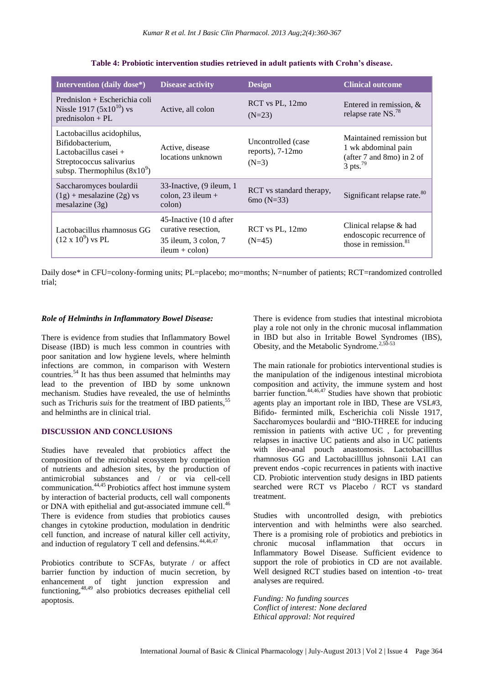| Intervention (daily dose*)                                                                                                              | <b>Disease activity</b>                                                                    | <b>Design</b>                                        | <b>Clinical outcome</b>                                                                                |
|-----------------------------------------------------------------------------------------------------------------------------------------|--------------------------------------------------------------------------------------------|------------------------------------------------------|--------------------------------------------------------------------------------------------------------|
| Prednislon + Escherichia coli<br>Nissle 1917 $(5x10^{10})$ vs<br>$prednisolon + PL$                                                     | Active, all colon                                                                          | RCT vs PL, 12mo<br>$(N=23)$                          | Entered in remission, $\&$<br>relapse rate NS. <sup>78</sup>                                           |
| Lactobacillus acidophilus,<br>Bifidobacterium,<br>Lactobacillus casei $+$<br>Streptococcus salivarius<br>subsp. Thermophilus $(8x10^9)$ | Active, disease<br>locations unknown                                                       | Uncontrolled (case<br>reports), $7-12$ mo<br>$(N=3)$ | Maintained remission but<br>1 wk abdominal pain<br>(after 7 and 8mo) in 2 of<br>$3$ pts. <sup>79</sup> |
| Saccharomyces boulardii<br>$(1g)$ + mesalazine $(2g)$ vs<br>mesalazine $(3g)$                                                           | 33-Inactive, (9 ileum, 1<br>colon, $23$ ileum +<br>colon)                                  | RCT vs standard therapy,<br>6mo $(N=33)$             | Significant relapse rate. <sup>80</sup>                                                                |
| Lactobacillus rhamnosus GG<br>$(12 \times 10^9)$ vs PL                                                                                  | 45-Inactive (10 d after<br>curative resection.<br>35 ileum, 3 colon, 7<br>$ileum + colon)$ | RCT vs PL, 12mo<br>$(N=45)$                          | Clinical relapse $&$ had<br>endoscopic recurrence of<br>those in remission. $81$                       |

**Table 4: Probiotic intervention studies retrieved in adult patients with Crohn's disease.**

Daily dose\* in CFU=colony-forming units; PL=placebo; mo=months; N=number of patients; RCT=randomized controlled trial;

#### *Role of Helminths in Inflammatory Bowel Disease:*

There is evidence from studies that Inflammatory Bowel Disease (IBD) is much less common in countries with poor sanitation and low hygiene levels, where helminth infections are common, in comparison with Western countries.<sup>54</sup> It has thus been assumed that helminths may lead to the prevention of IBD by some unknown mechanism. Studies have revealed, the use of helminths such as Trichuris *suis* for the treatment of IBD patients,<sup>55</sup> and helminths are in clinical trial.

## **DISCUSSION AND CONCLUSIONS**

Studies have revealed that probiotics affect the composition of the microbial ecosystem by competition of nutrients and adhesion sites, by the production of antimicrobial substances and / or via cell-cell communication.44,45 Probiotics affect host immune system by interaction of bacterial products, cell wall components or DNA with epithelial and gut-associated immune cell.<sup>46</sup> There is evidence from studies that probiotics causes changes in cytokine production, modulation in dendritic cell function, and increase of natural killer cell activity, and induction of regulatory T cell and defensins. $44,46,47$ 

Probiotics contribute to SCFAs, butyrate / or affect barrier function by induction of mucin secretion, by enhancement of tight junction expression and functioning,<sup>48,49</sup> also probiotics decreases epithelial cell apoptosis.

There is evidence from studies that intestinal microbiota play a role not only in the chronic mucosal inflammation in IBD but also in Irritable Bowel Syndromes (IBS), Obesity, and the Metabolic Syndrome.<sup>2,50-53</sup>

The main rationale for probiotics interventional studies is the manipulation of the indigenous intestinal microbiota composition and activity, the immune system and host barrier function.44,46,47 Studies have shown that probiotic agents play an important role in IBD, These are VSL#3, Bifido- ferminted milk, Escherichia coli Nissle 1917, Saccharomyces boulardii and "BIO-THREE for inducing remission in patients with active UC , for preventing relapses in inactive UC patients and also in UC patients with ileo-anal pouch anastomosis. Lactobacillllus rhamnosus GG and Lactobacillllus johnsonii LA1 can prevent endos -copic recurrences in patients with inactive CD. Probiotic intervention study designs in IBD patients searched were RCT vs Placebo / RCT vs standard treatment.

Studies with uncontrolled design, with prebiotics intervention and with helminths were also searched. There is a promising role of probiotics and prebiotics in chronic mucosal inflammation that occurs in Inflammatory Bowel Disease. Sufficient evidence to support the role of probiotics in CD are not available. Well designed RCT studies based on intention -to- treat analyses are required.

*Funding: No funding sources Conflict of interest: None declared Ethical approval: Not required*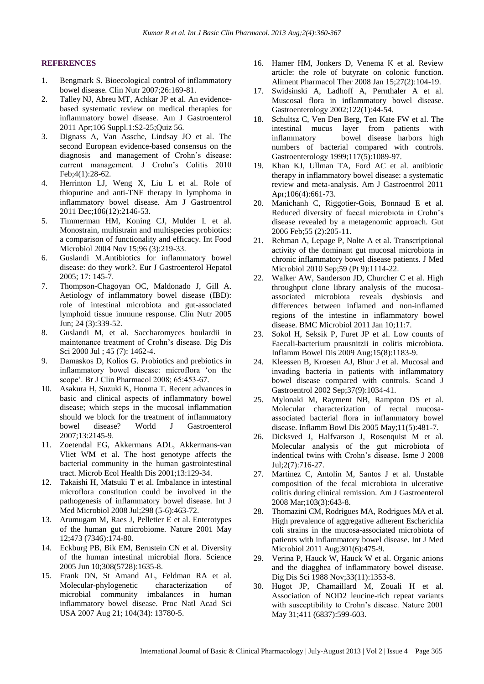#### **REFERENCES**

- 1. Bengmark S. Bioecological control of inflammatory bowel disease. Clin Nutr 2007;26:169-81.
- 2. Talley NJ, Abreu MT, Achkar JP et al. An evidencebased systematic review on medical therapies for inflammatory bowel disease. Am J Gastroenterol 2011 Apr;106 Suppl.1:S2-25;Quiz 56.
- 3. Dignass A, Van Assche, Lindsay JO et al. The second European evidence-based consensus on the diagnosis and management of Crohn's disease: current management. J Crohn's Colitis 2010 Feb;4(1):28-62.
- 4. Herrinton LJ, Weng X, Liu L et al. Role of thiopurine and anti-TNF therapy in lymphoma in inflammatory bowel disease. Am J Gastroentrol 2011 Dec;106(12):2146-53.
- 5. Timmerman HM, Koning CJ, Mulder L et al. Monostrain, multistrain and multispecies probiotics: a comparison of functionality and efficacy. Int Food Microbiol 2004 Nov 15;96 (3):219-33.
- 6. Guslandi M.Antibiotics for inflammatory bowel disease: do they work?. Eur J Gastroenterol Hepatol 2005; 17: 145-7.
- 7. Thompson-Chagoyan OC, Maldonado J, Gill A. Aetiology of inflammatory bowel disease (IBD): role of intestinal microbiota and gut-associated lymphoid tissue immune response. Clin Nutr 2005 Jun; 24 (3):339-52.
- 8. Guslandi M, et al. Saccharomyces boulardii in maintenance treatment of Crohn's disease. Dig Dis Sci 2000 Jul ; 45 (7): 1462-4.
- 9. Damaskos D, Kolios G. Probiotics and prebiotics in inflammatory bowel disease: microflora 'on the scope'. Br J Clin Pharmacol 2008; 65:453-67.
- 10. Asakura H, Suzuki K, Honma T. Recent advances in basic and clinical aspects of inflammatory bowel disease; which steps in the mucosal inflammation should we block for the treatment of inflammatory bowel disease? World J Gastroenterol 2007;13:2145-9.
- 11. Zoetendal EG, Akkermans ADL, Akkermans-van Vliet WM et al. The host genotype affects the bacterial community in the human gastrointestinal tract. Microb Ecol Health Dis 2001;13:129-34.
- 12. Takaishi H, Matsuki T et al. Imbalance in intestinal microflora constitution could be involved in the pathogenesis of inflammatory bowel disease. Int J Med Microbiol 2008 Jul;298 (5-6):463-72.
- 13. Arumugam M, Raes J, Pelletier E et al. Enterotypes of the human gut microbiome. Nature 2001 May 12;473 (7346):174-80.
- 14. Eckburg PB, Bik EM, Bernstein CN et al. Diversity of the human intestinal microbial flora. Science 2005 Jun 10;308(5728):1635-8.
- 15. Frank DN, St Amand AL, Feldman RA et al. Molecular-phylogenetic characterization of microbial community imbalances in human inflammatory bowel disease. Proc Natl Acad Sci USA 2007 Aug 21; 104(34): 13780-5.
- 16. Hamer HM, Jonkers D, Venema K et al. Review article: the role of butyrate on colonic function. Aliment Pharmacol Ther 2008 Jan 15;27(2):104-19.
- 17. Swidsinski A, Ladhoff A, Pernthaler A et al. Muscosal flora in inflammatory bowel disease. Gastroenterology 2002;122(1):44-54.
- 18. Schultsz C, Ven Den Berg, Ten Kate FW et al. The intestinal mucus layer from patients with<br>inflammatory bowel disease harbors high bowel disease harbors high numbers of bacterial compared with controls. Gastroenterology 1999;117(5):1089-97.
- 19. Khan KJ, Ullman TA, Ford AC et al. antibiotic therapy in inflammatory bowel disease: a systematic review and meta-analysis. Am J Gastroentrol 2011 Apr;106(4):661-73.
- 20. Manichanh C, Riggotier-Gois, Bonnaud E et al. Reduced diversity of faecal microbiota in Crohn's disease revealed by a metagenomic approach. Gut 2006 Feb;55 (2):205-11.
- 21. Rehman A, Lepage P, Nolte A et al. Transcriptional activity of the dominant gut mucosal microbiota in chronic inflammatory bowel disease patients. J Med Microbiol 2010 Sep;59 (Pt 9):1114-22.
- 22. Walker AW, Sanderson JD, Churcher C et al. High throughput clone library analysis of the mucosaassociated microbiota reveals dysbiosis and differences between inflamed and non-inflamed regions of the intestine in inflammatory bowel disease. BMC Microbiol 2011 Jan 10;11:7.
- 23. Sokol H, Seksik P, Furet JP et al. Low counts of Faecali-bacterium prausnitzii in colitis microbiota. Inflamm Bowel Dis 2009 Aug;15(8):1183-9.
- 24. Kleessen B, Kroesen AJ, Bhur J et al. Mucosal and invading bacteria in patients with inflammatory bowel disease compared with controls. Scand J Gastroentrol 2002 Sep;37(9):1034-41.
- 25. Mylonaki M, Rayment NB, Rampton DS et al. Molecular characterization of rectal mucosaassociated bacterial flora in inflammatory bowel disease. Inflamm Bowl Dis 2005 May;11(5):481-7.
- 26. Dicksved J, Halfvarson J, Rosenquist M et al. Molecular analysis of the gut microbiota of indentical twins with Crohn's disease. Isme J 2008 Jul;2(7):716-27.
- 27. Martinez C, Antolin M, Santos J et al. Unstable composition of the fecal microbiota in ulcerative colitis during clinical remission. Am J Gastroenterol 2008 Mar;103(3):643-8.
- 28. Thomazini CM, Rodrigues MA, Rodrigues MA et al. High prevalence of aggregative adherent Escherichia coli strains in the mucosa-associated microbiota of patients with inflammatory bowel disease. Int J Med Microbiol 2011 Aug;301(6):475-9.
- 29. Verina P, Hauck W, Hauck W et al. Organic anions and the diagghea of inflammatory bowel disease. Dig Dis Sci 1988 Nov;33(11):1353-8.
- 30. Hugot JP, Chamaillard M, Zouali H et al. Association of NOD2 leucine-rich repeat variants with susceptibility to Crohn's disease. Nature 2001 May 31;411 (6837):599-603.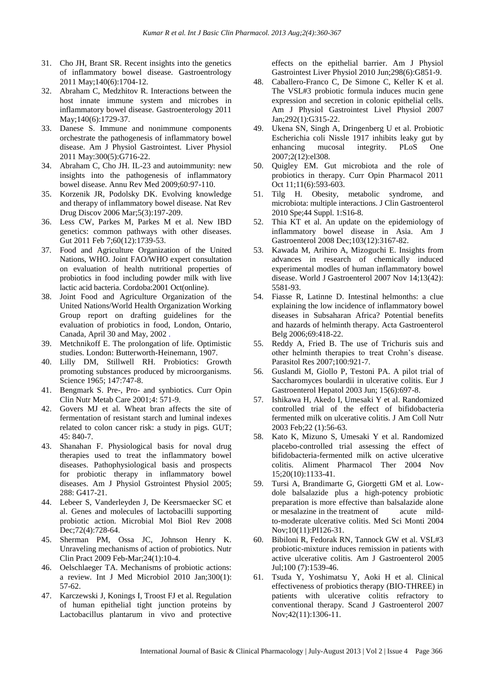- 31. Cho JH, Brant SR. Recent insights into the genetics of inflammatory bowel disease. Gastroentrology 2011 May;140(6):1704-12.
- 32. Abraham C, Medzhitov R. Interactions between the host innate immune system and microbes in inflammatory bowel disease. Gastroenterology 2011 May;140(6):1729-37.
- 33. Danese S. Immune and nonimmune components orchestrate the pathogenesis of inflammatory bowel disease. Am J Physiol Gastrointest. Liver Physiol 2011 May:300(5):G716-22.
- 34. Abraham C, Cho JH. IL-23 and autoimmunity: new insights into the pathogenesis of inflammatory bowel disease. Annu Rev Med 2009;60:97-110.
- 35. Korzenik JR, Podolsky DK. Evolving knowledge and therapy of inflammatory bowel disease. Nat Rev Drug Discov 2006 Mar;5(3):197-209.
- 36. Less CW, Parkes M, Parkes M et al. New IBD genetics: common pathways with other diseases. Gut 2011 Feb 7;60(12):1739-53.
- 37. Food and Agriculture Organization of the United Nations, WHO. Joint FAO/WHO expert consultation on evaluation of health nutritional properties of probiotics in food including powder milk with live lactic acid bacteria. Cordoba:2001 Oct(online).
- 38. Joint Food and Agriculture Organization of the United Nations/World Health Organization Working Group report on drafting guidelines for the evaluation of probiotics in food, London, Ontario, Canada, April 30 and May, 2002 .
- 39. Metchnikoff E. The prolongation of life. Optimistic studies. London: Butterworth-Heinemann, 1907.
- 40. Lilly DM, Stillwell RH. Probiotics: Growth promoting substances produced by microorganisms. Science 1965; 147:747-8.
- 41. Bengmark S. Pre-, Pro- and synbiotics. Curr Opin Clin Nutr Metab Care 2001;4: 571-9.
- 42. Govers MJ et al. Wheat bran affects the site of fermentation of resistant starch and luminal indexes related to colon cancer risk: a study in pigs. GUT; 45: 840-7.
- 43. Shanahan F. Physiological basis for noval drug therapies used to treat the inflammatory bowel diseases. Pathophysiological basis and prospects for probiotic therapy in inflammatory bowel diseases. Am J Physiol Gstrointest Physiol 2005; 288: G417-21.
- 44. Lebeer S, Vanderleyden J, De Keersmaecker SC et al. Genes and molecules of lactobacilli supporting probiotic action. Microbial Mol Biol Rev 2008 Dec; 72(4): 728-64.
- 45. Sherman PM, Ossa JC, Johnson Henry K. Unraveling mechanisms of action of probiotics. Nutr Clin Pract 2009 Feb-Mar;24(1):10-4.
- 46. Oelschlaeger TA. Mechanisms of probiotic actions: a review. Int J Med Microbiol 2010 Jan;300(1): 57-62.
- 47. Karczewski J, Konings I, Troost FJ et al. Regulation of human epithelial tight junction proteins by Lactobacillus plantarum in vivo and protective

effects on the epithelial barrier. Am J Physiol Gastrointest Liver Physiol 2010 Jun;298(6):G851-9.

- 48. Caballero-Franco C, De Simone C, Keller K et al. The VSL#3 probiotic formula induces mucin gene expression and secretion in colonic epithelial cells. Am J Physiol Gastrointest Livel Physiol 2007 Jan;292(1):G315-22.
- 49. Ukena SN, Singh A, Dringenberg U et al. Probiotic Escherichia coli Nissle 1917 inhibits leaky gut by enhancing mucosal integrity. PLoS One 2007;2(12):el308.
- 50. Quigley EM. Gut microbiota and the role of probiotics in therapy. Curr Opin Pharmacol 2011 Oct 11;11(6):593-603.
- 51. Tilg H. Obesity, metabolic syndrome, and microbiota: multiple interactions. J Clin Gastroenterol 2010 Spe;44 Suppl. 1:S16-8.
- 52. Thia KT et al. An update on the epidemiology of inflammatory bowel disease in Asia. Am J Gastroenterol 2008 Dec;103(12):3167-82.
- 53. Kawada M, Arihiro A, Mizoguchi E. Insights from advances in research of chemically induced experimental modles of human inflammatory bowel disease. World J Gastroenterol 2007 Nov 14;13(42): 5581-93.
- 54. Fiasse R, Latinne D. Intestinal helmonths: a clue explaining the low incidence of inflammatory bowel diseases in Subsaharan Africa? Potential benefits and hazards of helminth therapy. Acta Gastroenterol Belg 2006;69:418-22.
- 55. Reddy A, Fried B. The use of Trichuris suis and other helminth therapies to treat Crohn's disease. Parasitol Res 2007;100:921-7.
- 56. Guslandi M, Giollo P, Testoni PA. A pilot trial of Saccharomyces boulardii in ulcerative colitis. Eur J Gastroenterol Hepatol 2003 Jun; 15(6):697-8.
- 57. Ishikawa H, Akedo I, Umesaki Y et al. Randomized controlled trial of the effect of bifidobacteria fermented milk on ulcerative colitis. J Am Coll Nutr 2003 Feb;22 (1):56-63.
- 58. Kato K, Mizuno S, Umesaki Y et al. Randomized placebo-controlled trial assessing the effect of bifidobacteria-fermented milk on active ulcerative colitis. Aliment Pharmacol Ther 2004 Nov 15;20(10):1133-41.
- 59. Tursi A, Brandimarte G, Giorgetti GM et al. Lowdole balsalazide plus a high-potency probiotic preparation is more effective than balsalazide alone or mesalazine in the treatment of acute mildto-moderate ulcerative colitis. Med Sci Monti 2004 Nov;10(11):PI126-31.
- 60. Bibiloni R, Fedorak RN, Tannock GW et al. VSL#3 probiotic-mixture induces remission in patients with active ulcerative colitis. Am J Gastroenterol 2005 Jul;100 (7):1539-46.
- 61. Tsuda Y, Yoshimatsu Y, Aoki H et al. Clinical effectiveness of probiotics therapy (BIO-THREE) in patients with ulcerative colitis refractory to conventional therapy. Scand J Gastroenterol 2007 Nov;42(11):1306-11.